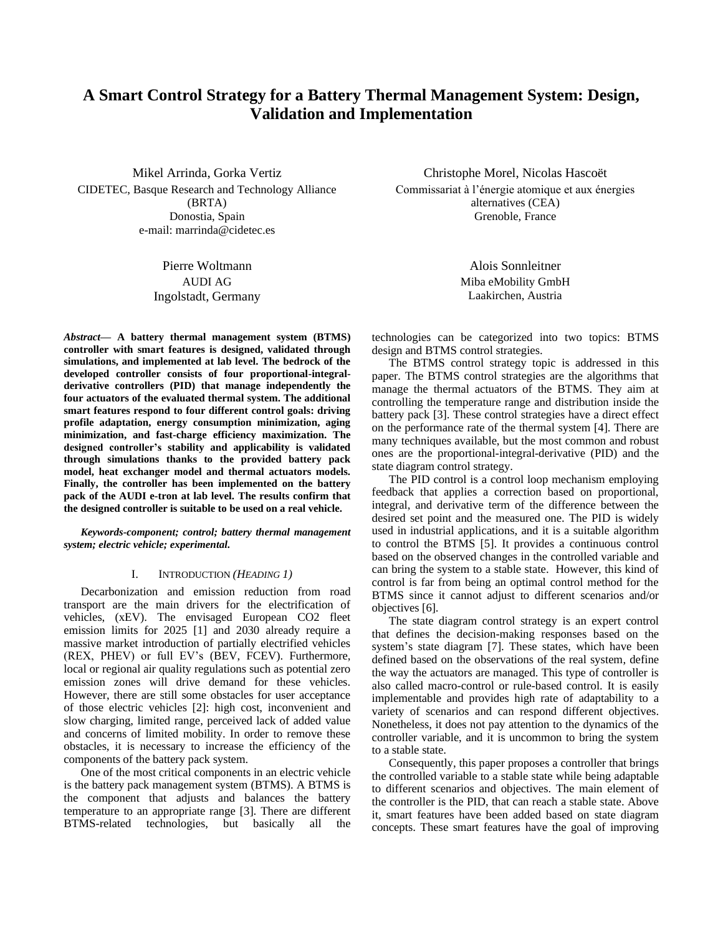# **A Smart Control Strategy for a Battery Thermal Management System: Design, Validation and Implementation**

Mikel Arrinda, Gorka Vertiz CIDETEC, Basque Research and Technology Alliance (BRTA) Donostia, Spain e-mail: marrinda@cidetec.es

> Pierre Woltmann AUDI AG Ingolstadt, Germany

*Abstract***— A battery thermal management system (BTMS) controller with smart features is designed, validated through simulations, and implemented at lab level. The bedrock of the developed controller consists of four proportional-integralderivative controllers (PID) that manage independently the four actuators of the evaluated thermal system. The additional smart features respond to four different control goals: driving profile adaptation, energy consumption minimization, aging minimization, and fast-charge efficiency maximization. The designed controller's stability and applicability is validated through simulations thanks to the provided battery pack model, heat exchanger model and thermal actuators models. Finally, the controller has been implemented on the battery pack of the AUDI e-tron at lab level. The results confirm that the designed controller is suitable to be used on a real vehicle.**

*Keywords-component; control; battery thermal management system; electric vehicle; experimental.*

## I. INTRODUCTION *(HEADING 1)*

Decarbonization and emission reduction from road transport are the main drivers for the electrification of vehicles, (xEV). The envisaged European CO2 fleet emission limits for 2025 [1] and 2030 already require a massive market introduction of partially electrified vehicles (REX, PHEV) or full EV's (BEV, FCEV). Furthermore, local or regional air quality regulations such as potential zero emission zones will drive demand for these vehicles. However, there are still some obstacles for user acceptance of those electric vehicles [2]: high cost, inconvenient and slow charging, limited range, perceived lack of added value and concerns of limited mobility. In order to remove these obstacles, it is necessary to increase the efficiency of the components of the battery pack system.

One of the most critical components in an electric vehicle is the battery pack management system (BTMS). A BTMS is the component that adjusts and balances the battery temperature to an appropriate range [3]. There are different BTMS-related technologies, but basically all the

Christophe Morel, Nicolas Hascoët Commissariat à l'énergie atomique et aux énergies alternatives (CEA) Grenoble, France

> Alois Sonnleitner Miba eMobility GmbH Laakirchen, Austria

technologies can be categorized into two topics: BTMS design and BTMS control strategies.

The BTMS control strategy topic is addressed in this paper. The BTMS control strategies are the algorithms that manage the thermal actuators of the BTMS. They aim at controlling the temperature range and distribution inside the battery pack [3]. These control strategies have a direct effect on the performance rate of the thermal system [4]. There are many techniques available, but the most common and robust ones are the proportional-integral-derivative (PID) and the state diagram control strategy.

The PID control is a control loop mechanism employing feedback that applies a correction based on proportional, integral, and derivative term of the difference between the desired set point and the measured one. The PID is widely used in industrial applications, and it is a suitable algorithm to control the BTMS [5]. It provides a continuous control based on the observed changes in the controlled variable and can bring the system to a stable state. However, this kind of control is far from being an optimal control method for the BTMS since it cannot adjust to different scenarios and/or objectives [6].

The state diagram control strategy is an expert control that defines the decision-making responses based on the system's state diagram [7]. These states, which have been defined based on the observations of the real system, define the way the actuators are managed. This type of controller is also called macro-control or rule-based control. It is easily implementable and provides high rate of adaptability to a variety of scenarios and can respond different objectives. Nonetheless, it does not pay attention to the dynamics of the controller variable, and it is uncommon to bring the system to a stable state.

Consequently, this paper proposes a controller that brings the controlled variable to a stable state while being adaptable to different scenarios and objectives. The main element of the controller is the PID, that can reach a stable state. Above it, smart features have been added based on state diagram concepts. These smart features have the goal of improving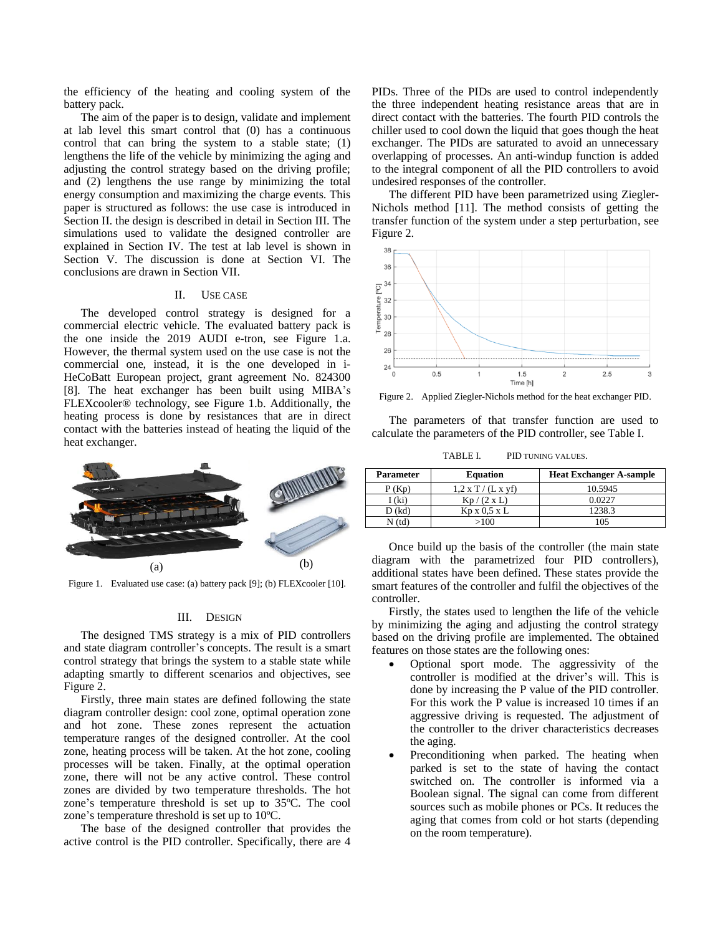the efficiency of the heating and cooling system of the battery pack.

The aim of the paper is to design, validate and implement at lab level this smart control that (0) has a continuous control that can bring the system to a stable state; (1) lengthens the life of the vehicle by minimizing the aging and adjusting the control strategy based on the driving profile; and (2) lengthens the use range by minimizing the total energy consumption and maximizing the charge events. This paper is structured as follows: the use case is introduced in Section II. the design is described in detail in Section III. The simulations used to validate the designed controller are explained in Section IV. The test at lab level is shown in Section V. The discussion is done at Section VI. The conclusions are drawn in Section VII.

#### II. USE CASE

The developed control strategy is designed for a commercial electric vehicle. The evaluated battery pack is the one inside the 2019 AUDI e-tron, see Figure 1.a. However, the thermal system used on the use case is not the commercial one, instead, it is the one developed in i-HeCoBatt European project, grant agreement No. 824300 [8]. The heat exchanger has been built using MIBA's FLEXcooler® technology, see Figure 1.b. Additionally, the heating process is done by resistances that are in direct contact with the batteries instead of heating the liquid of the heat exchanger.



Figure 1. Evaluated use case: (a) battery pack [9]; (b) FLEXcooler [10].

#### III. DESIGN

The designed TMS strategy is a mix of PID controllers and state diagram controller's concepts. The result is a smart control strategy that brings the system to a stable state while adapting smartly to different scenarios and objectives, see Figure 2.

Firstly, three main states are defined following the state diagram controller design: cool zone, optimal operation zone and hot zone. These zones represent the actuation temperature ranges of the designed controller. At the cool zone, heating process will be taken. At the hot zone, cooling processes will be taken. Finally, at the optimal operation zone, there will not be any active control. These control zones are divided by two temperature thresholds. The hot zone's temperature threshold is set up to 35ºC. The cool zone's temperature threshold is set up to 10ºC.

The base of the designed controller that provides the active control is the PID controller. Specifically, there are 4

PIDs. Three of the PIDs are used to control independently the three independent heating resistance areas that are in direct contact with the batteries. The fourth PID controls the chiller used to cool down the liquid that goes though the heat exchanger. The PIDs are saturated to avoid an unnecessary overlapping of processes. An anti-windup function is added to the integral component of all the PID controllers to avoid undesired responses of the controller.

The different PID have been parametrized using Ziegler-Nichols method [11]. The method consists of getting the transfer function of the system under a step perturbation, see Figure 2.



Figure 2. Applied Ziegler-Nichols method for the heat exchanger PID.

The parameters of that transfer function are used to calculate the parameters of the PID controller, see Table I.

TABLE I. PID TUNING VALUES.

| <b>Parameter</b>      | <b>Equation</b>      | <b>Heat Exchanger A-sample</b> |
|-----------------------|----------------------|--------------------------------|
| P(Kp)                 | $1.2$ x T / (L x yf) | 10.5945                        |
| 1 (ki)                | $Kp/(2 \times L)$    | 0.0227                         |
| D(kd)                 | Kp x 0.5 x L         | 1238.3                         |
| $\sqrt{\tan(\theta)}$ | >100                 | 105                            |

Once build up the basis of the controller (the main state diagram with the parametrized four PID controllers), additional states have been defined. These states provide the smart features of the controller and fulfil the objectives of the controller.

Firstly, the states used to lengthen the life of the vehicle by minimizing the aging and adjusting the control strategy based on the driving profile are implemented. The obtained features on those states are the following ones:

- Optional sport mode. The aggressivity of the controller is modified at the driver's will. This is done by increasing the P value of the PID controller. For this work the P value is increased 10 times if an aggressive driving is requested. The adjustment of the controller to the driver characteristics decreases the aging.
- Preconditioning when parked. The heating when parked is set to the state of having the contact switched on. The controller is informed via a Boolean signal. The signal can come from different sources such as mobile phones or PCs. It reduces the aging that comes from cold or hot starts (depending on the room temperature).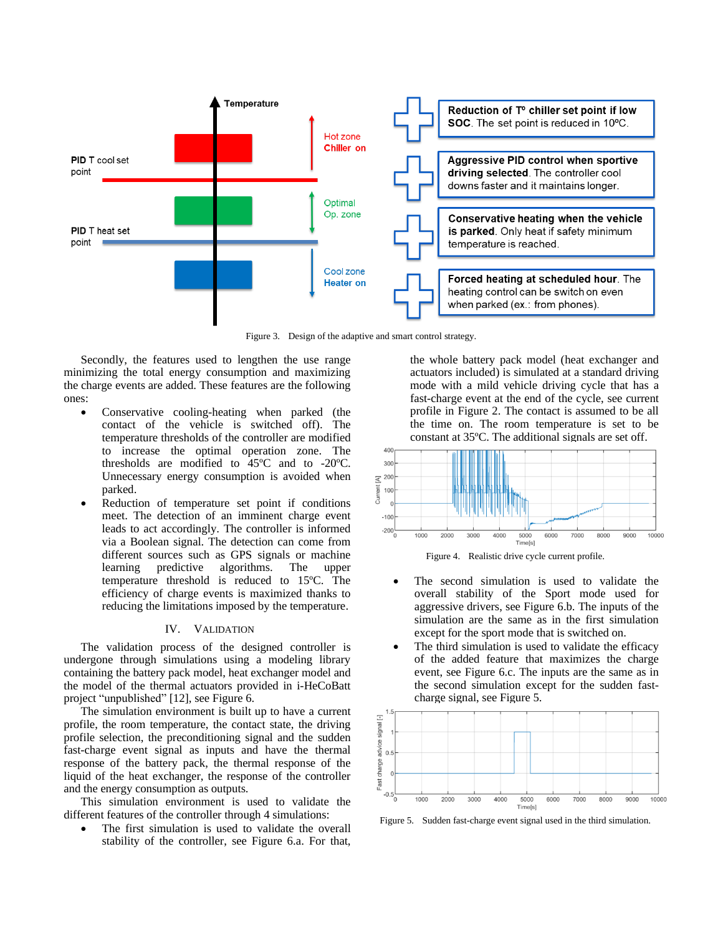

Figure 3. Design of the adaptive and smart control strategy.

Secondly, the features used to lengthen the use range minimizing the total energy consumption and maximizing the charge events are added. These features are the following ones:

- Conservative cooling-heating when parked (the contact of the vehicle is switched off). The temperature thresholds of the controller are modified to increase the optimal operation zone. The thresholds are modified to 45ºC and to -20ºC. Unnecessary energy consumption is avoided when parked.
- Reduction of temperature set point if conditions meet. The detection of an imminent charge event leads to act accordingly. The controller is informed via a Boolean signal. The detection can come from different sources such as GPS signals or machine learning predictive algorithms. The upper temperature threshold is reduced to 15ºC. The efficiency of charge events is maximized thanks to reducing the limitations imposed by the temperature.

## IV. VALIDATION

The validation process of the designed controller is undergone through simulations using a modeling library containing the battery pack model, heat exchanger model and the model of the thermal actuators provided in i-HeCoBatt project "unpublished" [12], see Figure 6.

The simulation environment is built up to have a current profile, the room temperature, the contact state, the driving profile selection, the preconditioning signal and the sudden fast-charge event signal as inputs and have the thermal response of the battery pack, the thermal response of the liquid of the heat exchanger, the response of the controller and the energy consumption as outputs.

This simulation environment is used to validate the different features of the controller through 4 simulations:

The first simulation is used to validate the overall stability of the controller, see Figure 6.a. For that, the whole battery pack model (heat exchanger and actuators included) is simulated at a standard driving mode with a mild vehicle driving cycle that has a fast-charge event at the end of the cycle, see current profile in Figure 2. The contact is assumed to be all the time on. The room temperature is set to be constant at 35ºC. The additional signals are set off.



Figure 4. Realistic drive cycle current profile.

- The second simulation is used to validate the overall stability of the Sport mode used for aggressive drivers, see Figure 6.b. The inputs of the simulation are the same as in the first simulation except for the sport mode that is switched on.
- The third simulation is used to validate the efficacy of the added feature that maximizes the charge event, see Figure 6.c. The inputs are the same as in the second simulation except for the sudden fastcharge signal, see Figure 5.



Figure 5. Sudden fast-charge event signal used in the third simulation.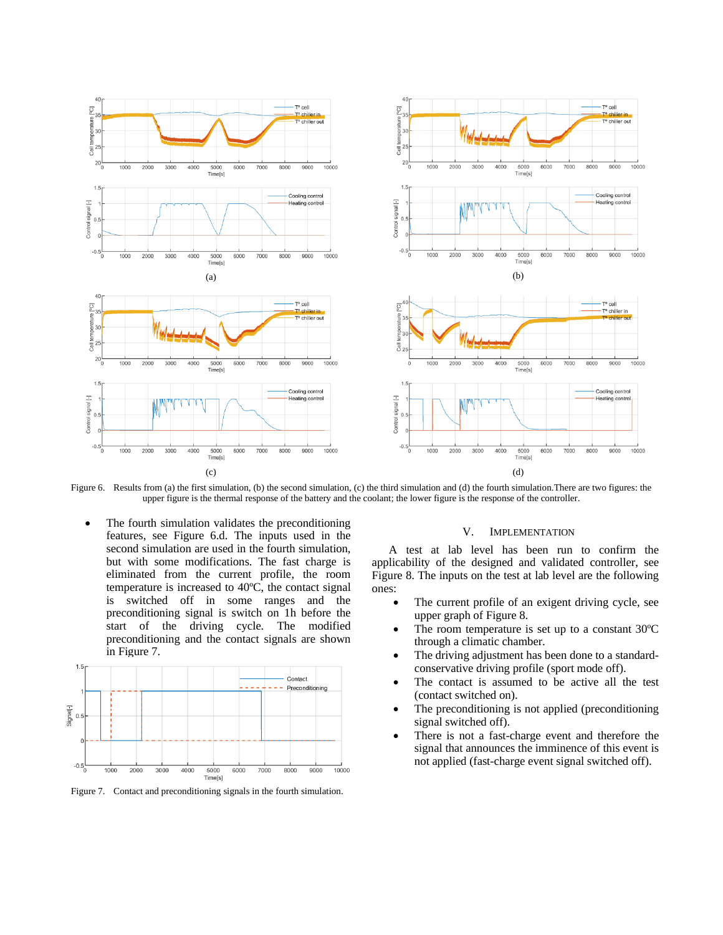

Figure 6. Results from (a) the first simulation, (b) the second simulation, (c) the third simulation and (d) the fourth simulation. There are two figures: the upper figure is the thermal response of the battery and the coolant; the lower figure is the response of the controller.

The fourth simulation validates the preconditioning features, see Figure 6.d. The inputs used in the second simulation are used in the fourth simulation, but with some modifications. The fast charge is eliminated from the current profile, the room temperature is increased to 40ºC, the contact signal is switched off in some ranges and the preconditioning signal is switch on 1h before the start of the driving cycle. The modified preconditioning and the contact signals are shown in Figure 7.



A test at lab level has been run to confirm the

V. IMPLEMENTATION

applicability of the designed and validated controller, see Figure 8. The inputs on the test at lab level are the following ones:

- The current profile of an exigent driving cycle, see upper graph of Figure 8.
- The room temperature is set up to a constant  $30^{\circ}$ C through a climatic chamber.
- The driving adjustment has been done to a standardconservative driving profile (sport mode off).
- The contact is assumed to be active all the test (contact switched on).
- The preconditioning is not applied (preconditioning signal switched off).
- There is not a fast-charge event and therefore the signal that announces the imminence of this event is not applied (fast-charge event signal switched off).

Figure 7. Contact and preconditioning signals in the fourth simulation.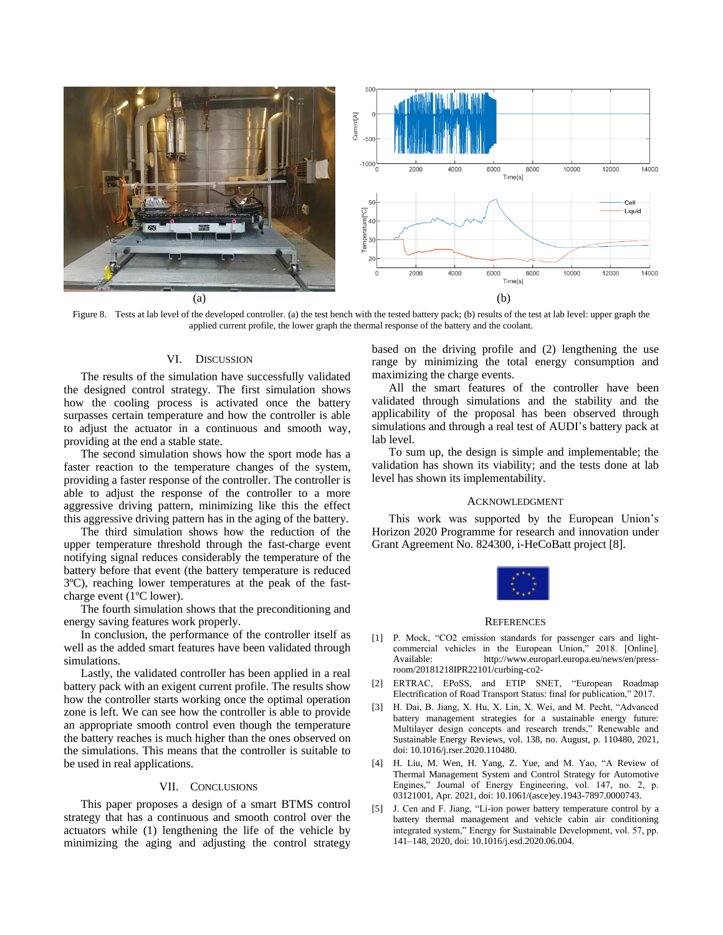

Figure 8. Tests at lab level of the developed controller. (a) the test bench with the tested battery pack; (b) results of the test at lab level: upper graph the applied current profile, the lower graph the thermal response of the battery and the coolant.

## VI. DISCUSSION

The results of the simulation have successfully validated the designed control strategy. The first simulation shows how the cooling process is activated once the battery surpasses certain temperature and how the controller is able to adjust the actuator in a continuous and smooth way, providing at the end a stable state.

The second simulation shows how the sport mode has a faster reaction to the temperature changes of the system, providing a faster response of the controller. The controller is able to adjust the response of the controller to a more aggressive driving pattern, minimizing like this the effect this aggressive driving pattern has in the aging of the battery.

The third simulation shows how the reduction of the upper temperature threshold through the fast-charge event notifying signal reduces considerably the temperature of the battery before that event (the battery temperature is reduced 3ºC), reaching lower temperatures at the peak of the fastcharge event (1ºC lower).

The fourth simulation shows that the preconditioning and energy saving features work properly.

In conclusion, the performance of the controller itself as well as the added smart features have been validated through simulations.

Lastly, the validated controller has been applied in a real battery pack with an exigent current profile. The results show how the controller starts working once the optimal operation zone is left. We can see how the controller is able to provide an appropriate smooth control even though the temperature the battery reaches is much higher than the ones observed on the simulations. This means that the controller is suitable to be used in real applications.

## VII. CONCLUSIONS

This paper proposes a design of a smart BTMS control strategy that has a continuous and smooth control over the actuators while (1) lengthening the life of the vehicle by minimizing the aging and adjusting the control strategy based on the driving profile and (2) lengthening the use range by minimizing the total energy consumption and maximizing the charge events.

All the smart features of the controller have been validated through simulations and the stability and the applicability of the proposal has been observed through simulations and through a real test of AUDI's battery pack at lab level.

To sum up, the design is simple and implementable; the validation has shown its viability; and the tests done at lab level has shown its implementability.

#### ACKNOWLEDGMENT

This work was supported by the European Union's Horizon 2020 Programme for research and innovation under Grant Agreement No. 824300, i-HeCoBatt project [8].



#### **REFERENCES**

- [1] P. Mock, "CO2 emission standards for passenger cars and lightin the European Union," 2018. [Online]. Available: http://www.europarl.europa.eu/news/en/pressroom/20181218IPR22101/curbing-co2-
- [2] ERTRAC, EPoSS, and ETIP SNET, "European Roadmap Electrification of Road Transport Status: final for publication," 2017.
- [3] H. Dai, B. Jiang, X. Hu, X. Lin, X. Wei, and M. Pecht, "Advanced battery management strategies for a sustainable energy future: Multilayer design concepts and research trends," Renewable and Sustainable Energy Reviews, vol. 138, no. August, p. 110480, 2021, doi: 10.1016/j.rser.2020.110480.
- [4] H. Liu, M. Wen, H. Yang, Z. Yue, and M. Yao, "A Review of Thermal Management System and Control Strategy for Automotive Engines," Journal of Energy Engineering, vol. 147, no. 2, p. 03121001, Apr. 2021, doi: 10.1061/(asce)ey.1943-7897.0000743.
- [5] J. Cen and F. Jiang, "Li-ion power battery temperature control by a battery thermal management and vehicle cabin air conditioning integrated system," Energy for Sustainable Development, vol. 57, pp. 141–148, 2020, doi: 10.1016/j.esd.2020.06.004.